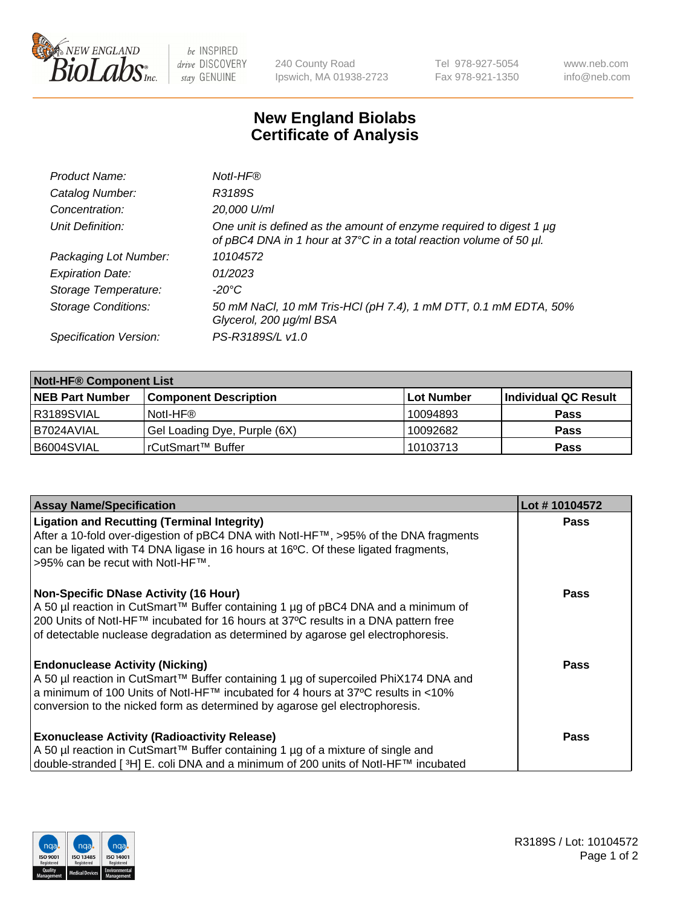

be INSPIRED drive DISCOVERY stay GENUINE

240 County Road Ipswich, MA 01938-2723 Tel 978-927-5054 Fax 978-921-1350 www.neb.com info@neb.com

## **New England Biolabs Certificate of Analysis**

| Product Name:              | Notl-HF®                                                                                                                                  |
|----------------------------|-------------------------------------------------------------------------------------------------------------------------------------------|
| Catalog Number:            | R3189S                                                                                                                                    |
| Concentration:             | 20,000 U/ml                                                                                                                               |
| Unit Definition:           | One unit is defined as the amount of enzyme required to digest 1 µg<br>of pBC4 DNA in 1 hour at 37°C in a total reaction volume of 50 µl. |
| Packaging Lot Number:      | 10104572                                                                                                                                  |
| <b>Expiration Date:</b>    | 01/2023                                                                                                                                   |
| Storage Temperature:       | $-20^{\circ}$ C                                                                                                                           |
| <b>Storage Conditions:</b> | 50 mM NaCl, 10 mM Tris-HCl (pH 7.4), 1 mM DTT, 0.1 mM EDTA, 50%<br>Glycerol, 200 µg/ml BSA                                                |
| Specification Version:     | PS-R3189S/L v1.0                                                                                                                          |

| <b>Notl-HF® Component List</b> |                              |            |                      |  |  |
|--------------------------------|------------------------------|------------|----------------------|--|--|
| <b>NEB Part Number</b>         | <b>Component Description</b> | Lot Number | Individual QC Result |  |  |
| R3189SVIAL                     | Notl-HF®                     | 10094893   | <b>Pass</b>          |  |  |
| I B7024AVIAL                   | Gel Loading Dye, Purple (6X) | 10092682   | <b>Pass</b>          |  |  |
| B6004SVIAL                     | l rCutSmart™ Buffer          | 10103713   | <b>Pass</b>          |  |  |

| <b>Assay Name/Specification</b>                                                                                                                                                                                                 | Lot #10104572 |
|---------------------------------------------------------------------------------------------------------------------------------------------------------------------------------------------------------------------------------|---------------|
| <b>Ligation and Recutting (Terminal Integrity)</b><br>After a 10-fold over-digestion of pBC4 DNA with Notl-HF™, >95% of the DNA fragments<br>can be ligated with T4 DNA ligase in 16 hours at 16°C. Of these ligated fragments, | <b>Pass</b>   |
| >95% can be recut with Notl-HF™.                                                                                                                                                                                                |               |
| <b>Non-Specific DNase Activity (16 Hour)</b>                                                                                                                                                                                    | Pass          |
| A 50 µl reaction in CutSmart™ Buffer containing 1 µg of pBC4 DNA and a minimum of<br>200 Units of Notl-HF™ incubated for 16 hours at 37°C results in a DNA pattern free                                                         |               |
| of detectable nuclease degradation as determined by agarose gel electrophoresis.                                                                                                                                                |               |
| <b>Endonuclease Activity (Nicking)</b>                                                                                                                                                                                          | Pass          |
| A 50 µl reaction in CutSmart™ Buffer containing 1 µg of supercoiled PhiX174 DNA and                                                                                                                                             |               |
| a minimum of 100 Units of Notl-HF™ incubated for 4 hours at 37°C results in <10%                                                                                                                                                |               |
| conversion to the nicked form as determined by agarose gel electrophoresis.                                                                                                                                                     |               |
| <b>Exonuclease Activity (Radioactivity Release)</b>                                                                                                                                                                             | <b>Pass</b>   |
| A 50 µl reaction in CutSmart™ Buffer containing 1 µg of a mixture of single and                                                                                                                                                 |               |
| double-stranded [ <sup>3</sup> H] E. coli DNA and a minimum of 200 units of Notl-HF™ incubated                                                                                                                                  |               |